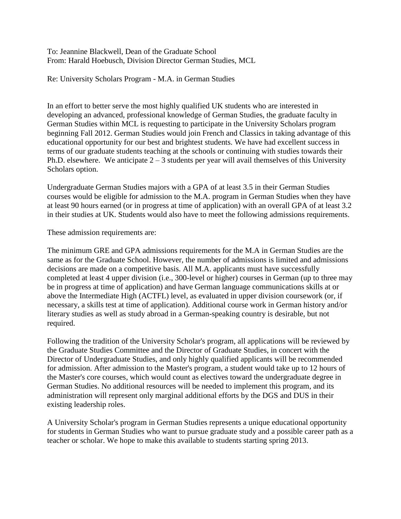To: Jeannine Blackwell, Dean of the Graduate School From: Harald Hoebusch, Division Director German Studies, MCL

Re: University Scholars Program - M.A. in German Studies

In an effort to better serve the most highly qualified UK students who are interested in developing an advanced, professional knowledge of German Studies, the graduate faculty in German Studies within MCL is requesting to participate in the University Scholars program beginning Fall 2012. German Studies would join French and Classics in taking advantage of this educational opportunity for our best and brightest students. We have had excellent success in terms of our graduate students teaching at the schools or continuing with studies towards their Ph.D. elsewhere. We anticipate  $2 - 3$  students per year will avail themselves of this University Scholars option.

Undergraduate German Studies majors with a GPA of at least 3.5 in their German Studies courses would be eligible for admission to the M.A. program in German Studies when they have at least 90 hours earned (or in progress at time of application) with an overall GPA of at least 3.2 in their studies at UK. Students would also have to meet the following admissions requirements.

These admission requirements are:

The minimum GRE and GPA admissions requirements for the M.A in German Studies are the same as for the Graduate School. However, the number of admissions is limited and admissions decisions are made on a competitive basis. All M.A. applicants must have successfully completed at least 4 upper division (i.e., 300-level or higher) courses in German (up to three may be in progress at time of application) and have German language communications skills at or above the Intermediate High (ACTFL) level, as evaluated in upper division coursework (or, if necessary, a skills test at time of application). Additional course work in German history and/or literary studies as well as study abroad in a German-speaking country is desirable, but not required.

Following the tradition of the University Scholar's program, all applications will be reviewed by the Graduate Studies Committee and the Director of Graduate Studies, in concert with the Director of Undergraduate Studies, and only highly qualified applicants will be recommended for admission. After admission to the Master's program, a student would take up to 12 hours of the Master's core courses, which would count as electives toward the undergraduate degree in German Studies. No additional resources will be needed to implement this program, and its administration will represent only marginal additional efforts by the DGS and DUS in their existing leadership roles.

A University Scholar's program in German Studies represents a unique educational opportunity for students in German Studies who want to pursue graduate study and a possible career path as a teacher or scholar. We hope to make this available to students starting spring 2013.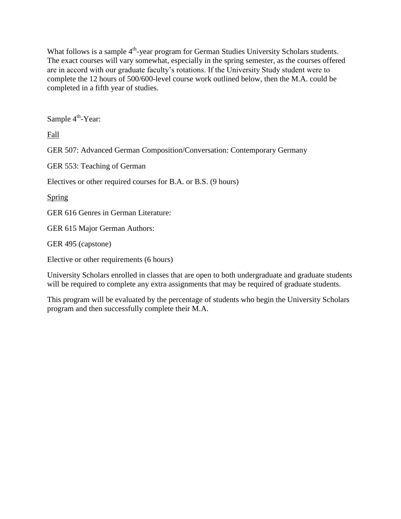What follows is a sample  $4<sup>th</sup>$ -year program for German Studies University Scholars students. The exact courses will vary somewhat, especially in the spring semester, as the courses offered are in accord with our graduate faculty's rotations. If the University Study student were to complete the 12 hours of 500/600-level course work outlined below, then the M.A. could be completed in a fifth year of studies.

Sample 4<sup>th</sup>-Year:

Fall

GER 507: Advanced German Composition/Conversation: Contemporary Germany

GER 553: Teaching of German

Electives or other required courses for B.A. or B.S. (9 hours)

Spring

GER 616 Genres in German Literature:

GER 615 Major German Authors:

GER 495 (capstone)

Elective or other requirements (6 hours)

University Scholars enrolled in classes that are open to both undergraduate and graduate students will be required to complete any extra assignments that may be required of graduate students.

This program will be evaluated by the percentage of students who begin the University Scholars program and then successfully complete their M.A.